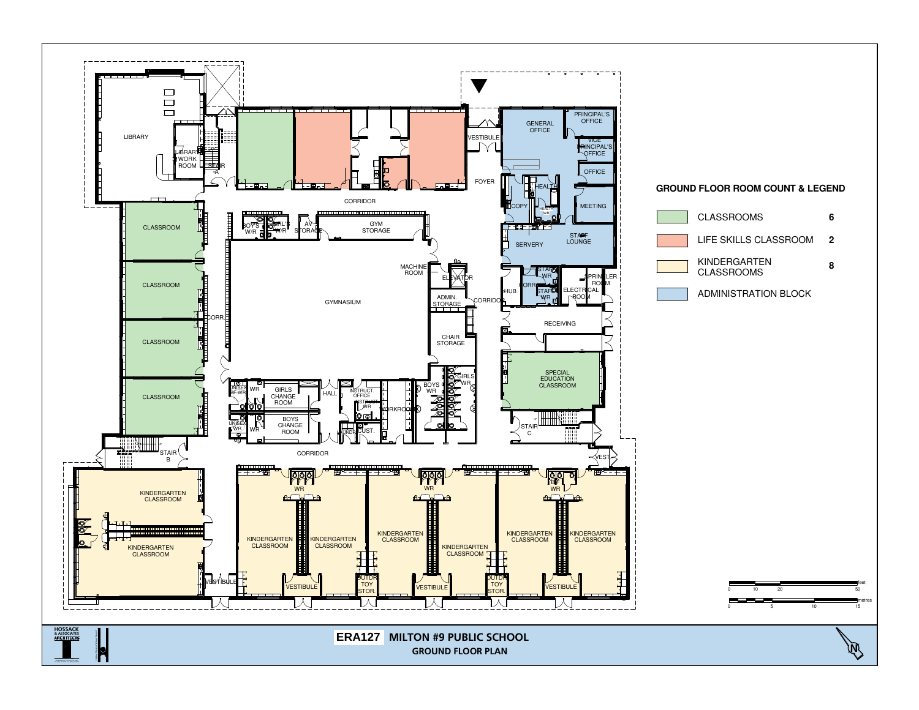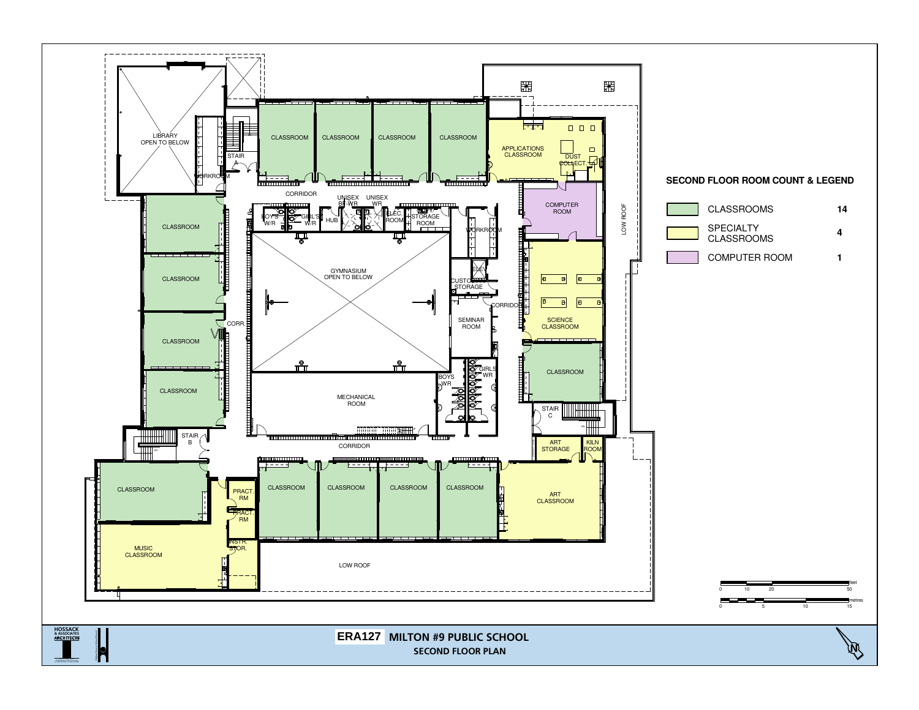